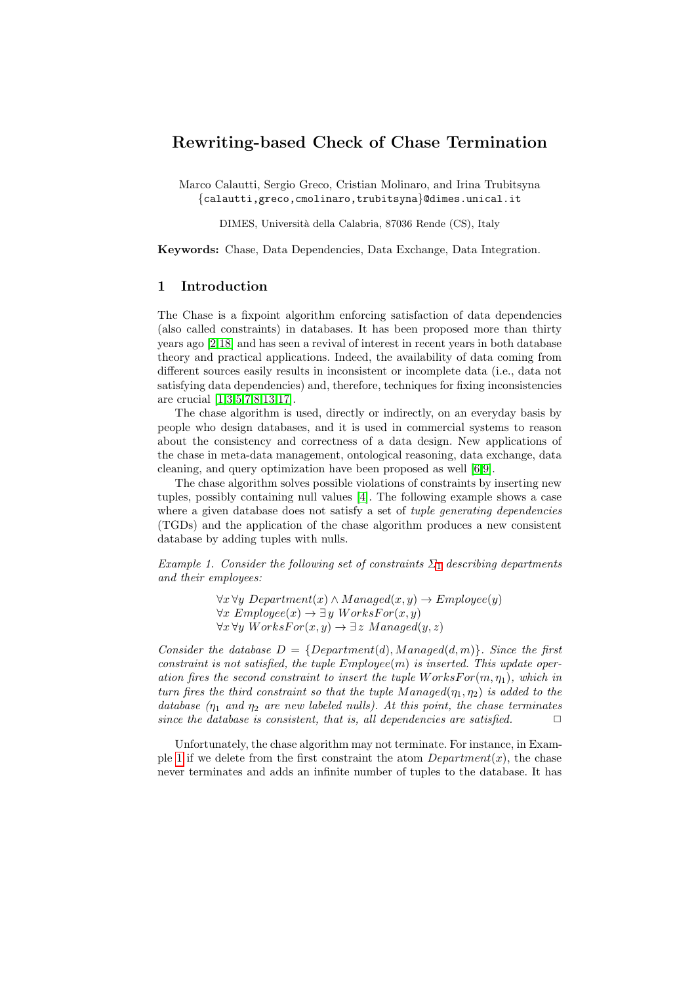# Rewriting-based Check of Chase Termination

Marco Calautti, Sergio Greco, Cristian Molinaro, and Irina Trubitsyna {calautti,greco,cmolinaro,trubitsyna}@dimes.unical.it

DIMES, Universit`a della Calabria, 87036 Rende (CS), Italy

Keywords: Chase, Data Dependencies, Data Exchange, Data Integration.

## 1 Introduction

The Chase is a fixpoint algorithm enforcing satisfaction of data dependencies (also called constraints) in databases. It has been proposed more than thirty years ago [\[2,](#page-4-0)[18\]](#page-5-0) and has seen a revival of interest in recent years in both database theory and practical applications. Indeed, the availability of data coming from different sources easily results in inconsistent or incomplete data (i.e., data not satisfying data dependencies) and, therefore, techniques for fixing inconsistencies are crucial [\[1](#page-4-1)[,3,](#page-4-2)[5,](#page-4-3)[7,](#page-4-4)[8](#page-4-5)[,13,](#page-5-1)[17\]](#page-5-2).

The chase algorithm is used, directly or indirectly, on an everyday basis by people who design databases, and it is used in commercial systems to reason about the consistency and correctness of a data design. New applications of the chase in meta-data management, ontological reasoning, data exchange, data cleaning, and query optimization have been proposed as well [\[6,](#page-4-6)[9\]](#page-4-7).

The chase algorithm solves possible violations of constraints by inserting new tuples, possibly containing null values [\[4\]](#page-4-8). The following example shows a case where a given database does not satisfy a set of *tuple generating dependencies* (TGDs) and the application of the chase algorithm produces a new consistent database by adding tuples with nulls.

<span id="page-0-0"></span>Example [1](#page-0-0). Consider the following set of constraints  $\Sigma_1$  describing departments and their employees:

> $\forall x \forall y \; Department(x) \land Management(x, y) \rightarrow Employee(y)$  $\forall x \; Employee(x) \rightarrow \exists y \; Workshop(x, y)$  $\forall x \forall y \text{ Wors}$   $For(x, y) \rightarrow \exists z \text{ Mana}$   $gcd(y, z)$

Consider the database  $D = \{Department(d), Management(d, m)\}.$  Since the first constraint is not satisfied, the tuple  $Employee(m)$  is inserted. This update operation fires the second constraint to insert the tuple  $W$ orks $For(m, \eta_1)$ , which in turn fires the third constraint so that the tuple Managed $(\eta_1, \eta_2)$  is added to the database  $(\eta_1 \text{ and } \eta_2 \text{ are new labeled nulls})$ . At this point, the chase terminates since the database is consistent, that is, all dependencies are satisfied.  $\Box$ 

Unfortunately, the chase algorithm may not terminate. For instance, in Exam-ple [1](#page-0-0) if we delete from the first constraint the atom  $Department(x)$ , the chase never terminates and adds an infinite number of tuples to the database. It has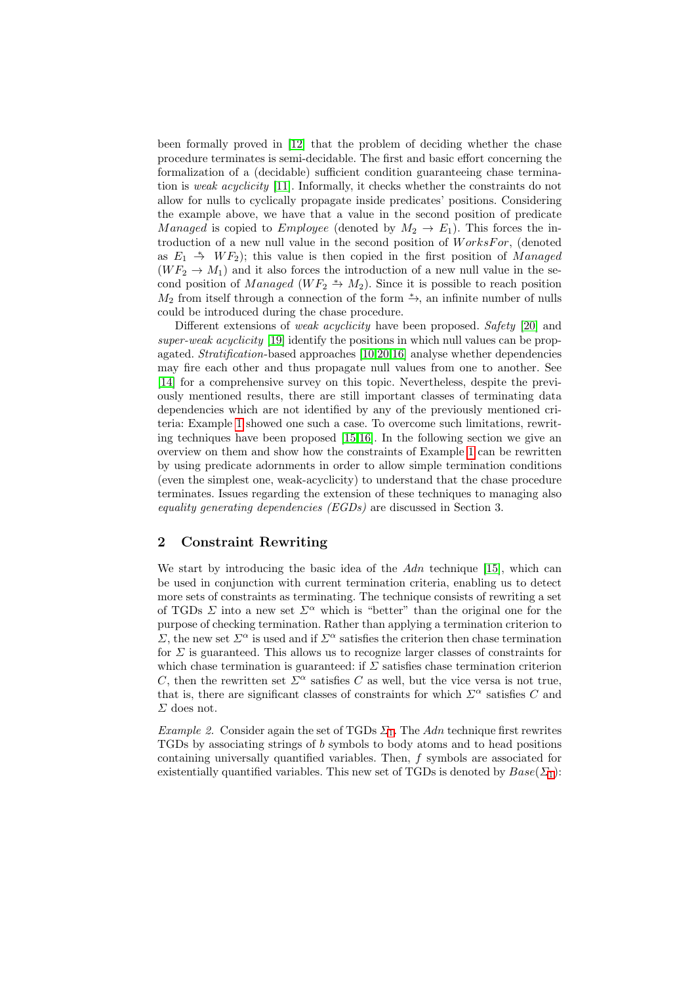been formally proved in [\[12\]](#page-5-3) that the problem of deciding whether the chase procedure terminates is semi-decidable. The first and basic effort concerning the formalization of a (decidable) sufficient condition guaranteeing chase termination is weak acyclicity [\[11\]](#page-5-4). Informally, it checks whether the constraints do not allow for nulls to cyclically propagate inside predicates' positions. Considering the example above, we have that a value in the second position of predicate Managed is copied to Employee (denoted by  $M_2 \rightarrow E_1$ ). This forces the introduction of a new null value in the second position of  $WorksFor$ , (denoted as  $E_1 \rightarrow WF_2$ ); this value is then copied in the first position of Managed  $(W F_2 \rightarrow M_1)$  and it also forces the introduction of a new null value in the second position of Managed (WF<sub>2</sub>  $\rightarrow$  M<sub>2</sub>). Since it is possible to reach position  $M_2$  from itself through a connection of the form  $\stackrel{*}{\rightarrow}$ , an infinite number of nulls could be introduced during the chase procedure.

Different extensions of *weak acyclicity* have been proposed. Safety [\[20\]](#page-5-5) and super-weak acyclicity [\[19\]](#page-5-6) identify the positions in which null values can be propagated. Stratification-based approaches [\[10,](#page-4-9)[20,](#page-5-5)[16\]](#page-5-7) analyse whether dependencies may fire each other and thus propagate null values from one to another. See [\[14\]](#page-5-8) for a comprehensive survey on this topic. Nevertheless, despite the previously mentioned results, there are still important classes of terminating data dependencies which are not identified by any of the previously mentioned criteria: Example [1](#page-0-0) showed one such a case. To overcome such limitations, rewriting techniques have been proposed [\[15,](#page-5-9)[16\]](#page-5-7). In the following section we give an overview on them and show how the constraints of Example [1](#page-0-0) can be rewritten by using predicate adornments in order to allow simple termination conditions (even the simplest one, weak-acyclicity) to understand that the chase procedure terminates. Issues regarding the extension of these techniques to managing also equality generating dependencies (EGDs) are discussed in Section 3.

## 2 Constraint Rewriting

We start by introducing the basic idea of the  $Adn$  technique [\[15\]](#page-5-9), which can be used in conjunction with current termination criteria, enabling us to detect more sets of constraints as terminating. The technique consists of rewriting a set of TGDs  $\Sigma$  into a new set  $\Sigma^{\alpha}$  which is "better" than the original one for the purpose of checking termination. Rather than applying a termination criterion to  $\Sigma$ , the new set  $\Sigma^{\alpha}$  is used and if  $\Sigma^{\alpha}$  satisfies the criterion then chase termination for  $\Sigma$  is guaranteed. This allows us to recognize larger classes of constraints for which chase termination is guaranteed: if  $\Sigma$  satisfies chase termination criterion C, then the rewritten set  $\Sigma^{\alpha}$  satisfies C as well, but the vice versa is not true, that is, there are significant classes of constraints for which  $\Sigma^{\alpha}$  satisfies C and  $\Sigma$  does not.

*Example 2.* Consider again the set of TGDs  $\Sigma_1$  $\Sigma_1$ . The Adn technique first rewrites TGDs by associating strings of b symbols to body atoms and to head positions containing universally quantified variables. Then, f symbols are associated for existentially quantified variables. This new set of TGDs is denoted by  $Base(\Sigma_1)$  $Base(\Sigma_1)$  $Base(\Sigma_1)$ :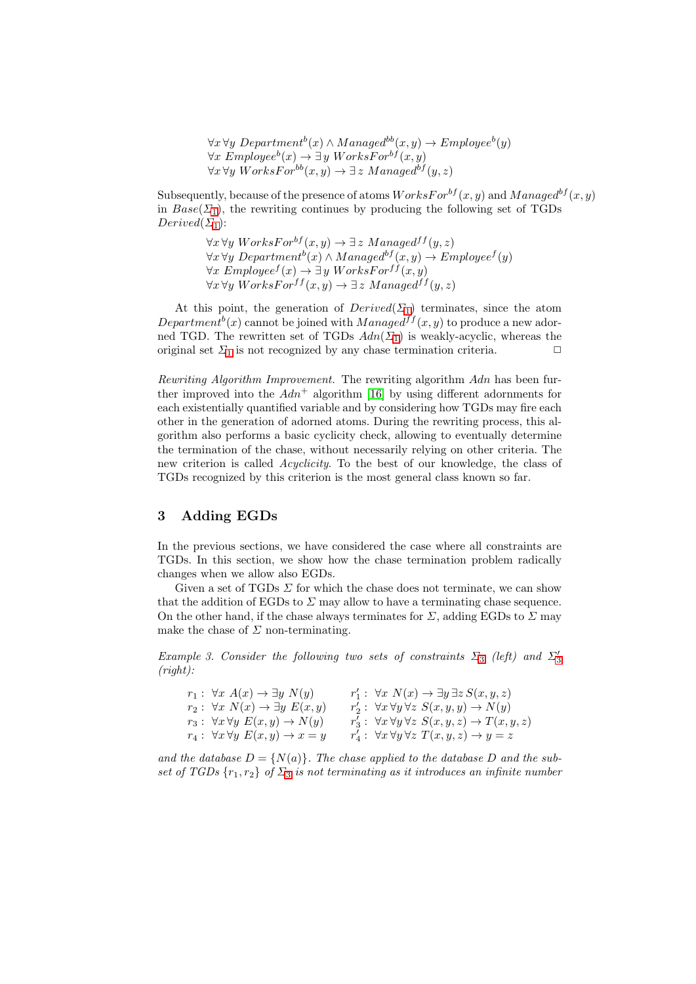$\forall x \forall y \ Department^b(x) \land Management^b(x, y) \rightarrow Employee^b(y)$  $\forall x \; Employee^b(x) \rightarrow \exists y \; Workshop^b(x, y)$  $\forall x \forall y \text{ Works}$   $F \circ r^{bb}(x, y) \rightarrow \exists z \text{$ *Managed<sup>bf</sup>* $(y, z)$ 

Subsequently, because of the presence of atoms  $WorksFor^{bf}(x, y)$  and  $Managed^{bf}(x, y)$ in  $Base(\Sigma_1)$  $Base(\Sigma_1)$  $Base(\Sigma_1)$ , the rewriting continues by producing the following set of TGDs  $Derived(\Sigma_1)$  $Derived(\Sigma_1)$  $Derived(\Sigma_1)$ :

> $\forall x \forall y \text{ W} or \text{ks} \text{For}^{\text{bf}}(x, y) \rightarrow \exists z \text{ M} anaged \text{ff}(y, z)$  $\forall x \forall y \ Department^b(x) \land Management^b(x, y) \rightarrow Employee^f(y)$  $\forall x \; Employee^{f}(x) \rightarrow \exists y \; Workshop{W}$  $\forall x \forall y \space WorksFor^{ff}(x, y) \rightarrow \exists z \space Management(f(y, z))$

At this point, the generation of  $Derived(\Sigma_1)$  $Derived(\Sigma_1)$  $Derived(\Sigma_1)$  terminates, since the atom Department<sup>b</sup>(x) cannot be joined with  $Managed^{ff}(x, y)$  to produce a new adorned TGD. The rewritten set of TGDs  $Adn(\Sigma_1)$  $Adn(\Sigma_1)$  $Adn(\Sigma_1)$  is weakly-acyclic, whereas the original set  $\Sigma_1$  $\Sigma_1$  is not recognized by any chase termination criteria.  $\Box$ 

Rewriting Algorithm Improvement. The rewriting algorithm Adn has been further improved into the  $Adn^+$  algorithm [\[16\]](#page-5-7) by using different adornments for each existentially quantified variable and by considering how TGDs may fire each other in the generation of adorned atoms. During the rewriting process, this algorithm also performs a basic cyclicity check, allowing to eventually determine the termination of the chase, without necessarily relying on other criteria. The new criterion is called Acyclicity. To the best of our knowledge, the class of TGDs recognized by this criterion is the most general class known so far.

### 3 Adding EGDs

In the previous sections, we have considered the case where all constraints are TGDs. In this section, we show how the chase termination problem radically changes when we allow also EGDs.

Given a set of TGDs  $\Sigma$  for which the chase does not terminate, we can show that the addition of EGDs to  $\Sigma$  may allow to have a terminating chase sequence. On the other hand, if the chase always terminates for  $\Sigma$ , adding EGDs to  $\Sigma$  may make the chase of  $\Sigma$  non-terminating.

<span id="page-2-0"></span>Example [3](#page-2-0). Consider the following two sets of constraints  $\Sigma_3$  (left) and  $\Sigma'_3$ (right):

| $r_1: \forall x A(x) \rightarrow \exists y N(y)$       | $r'_1: \forall x \ N(x) \rightarrow \exists y \exists z S(x,y,z)$            |
|--------------------------------------------------------|------------------------------------------------------------------------------|
| $r_2: \forall x \ N(x) \rightarrow \exists y \ E(x,y)$ | $r'_2$ : $\forall x \forall y \forall z \ S(x, y, y) \rightarrow N(y)$       |
| $r_3: \forall x \forall y \ E(x,y) \rightarrow N(y)$   | $r'_3$ : $\forall x \forall y \forall z \ S(x, y, z) \rightarrow T(x, y, z)$ |
| $r_4: \forall x \forall y \ E(x,y) \rightarrow x=y$    | $r'_4: \ \forall x \forall y \forall z \ T(x,y,z) \rightarrow y=z$           |

and the database  $D = \{N(a)\}\.$  The chase applied to the database D and the subset of TGDs  $\{r_1, r_2\}$  of  $\Sigma_3$  $\Sigma_3$  is not terminating as it introduces an infinite number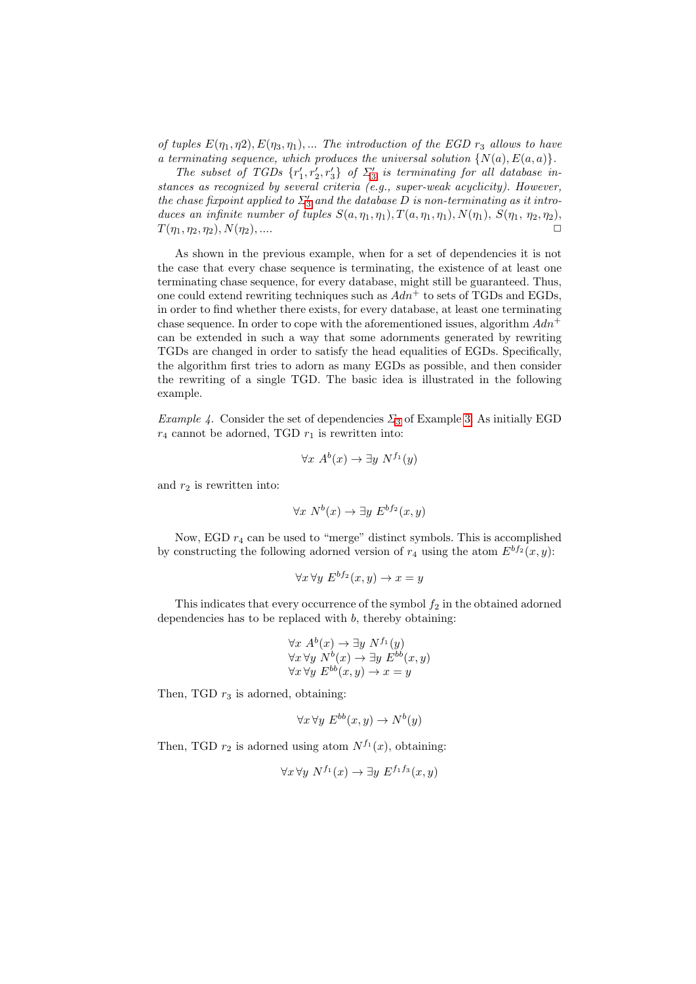of tuples  $E(\eta_1, \eta_2), E(\eta_3, \eta_1), \dots$  The introduction of the EGD  $r_3$  allows to have a terminating sequence, which produces the universal solution  $\{N(a), E(a, a)\}.$ 

The subset of TGDs  $\{r'_1, r'_2, r'_3\}$  $\{r'_1, r'_2, r'_3\}$  $\{r'_1, r'_2, r'_3\}$  of  $\Sigma'_3$  is terminating for all database instances as recognized by several criteria (e.g., super-weak acyclicity). However, the chase fixpoint applied to  $\Sigma_3'$  $\Sigma_3'$  $\Sigma_3'$  and the database D is non-terminating as it introduces an infinite number of tuples  $S(a, \eta_1, \eta_1), T(a, \eta_1, \eta_1), N(\eta_1), S(\eta_1, \eta_2, \eta_2),$  $T(\eta_1, \eta_2, \eta_2), N(\eta_2), \dots$ 

As shown in the previous example, when for a set of dependencies it is not the case that every chase sequence is terminating, the existence of at least one terminating chase sequence, for every database, might still be guaranteed. Thus, one could extend rewriting techniques such as  $Adn^+$  to sets of TGDs and EGDs, in order to find whether there exists, for every database, at least one terminating chase sequence. In order to cope with the aforementioned issues, algorithm  $Adn^+$ can be extended in such a way that some adornments generated by rewriting TGDs are changed in order to satisfy the head equalities of EGDs. Specifically, the algorithm first tries to adorn as many EGDs as possible, and then consider the rewriting of a single TGD. The basic idea is illustrated in the following example.

Example 4. Consider the set of dependencies  $\Sigma_3$  $\Sigma_3$  of Example [3.](#page-2-0) As initially EGD  $r_4$  cannot be adorned, TGD  $r_1$  is rewritten into:

$$
\forall x \ A^b(x) \to \exists y \ N^{f_1}(y)
$$

and  $r_2$  is rewritten into:

$$
\forall x \; N^b(x) \to \exists y \; E^{bf_2}(x, y)
$$

Now, EGD  $r_4$  can be used to "merge" distinct symbols. This is accomplished by constructing the following adorned version of  $r_4$  using the atom  $E^{bf_2}(x, y)$ :

$$
\forall x \forall y \ E^{bf_2}(x, y) \to x = y
$$

This indicates that every occurrence of the symbol  $f_2$  in the obtained adorned dependencies has to be replaced with  $b$ , thereby obtaining:

$$
\forall x \ A^b(x) \to \exists y \ N^{f_1}(y)
$$
  

$$
\forall x \forall y \ N^b(x) \to \exists y \ E^{bb}(x, y)
$$
  

$$
\forall x \forall y \ E^{bb}(x, y) \to x = y
$$

Then, TGD  $r_3$  is adorned, obtaining:

$$
\forall x \forall y \ E^{bb}(x, y) \to N^b(y)
$$

Then, TGD  $r_2$  is adorned using atom  $N^{f_1}(x)$ , obtaining:

$$
\forall x \forall y \ N^{f_1}(x) \to \exists y \ E^{f_1 f_3}(x, y)
$$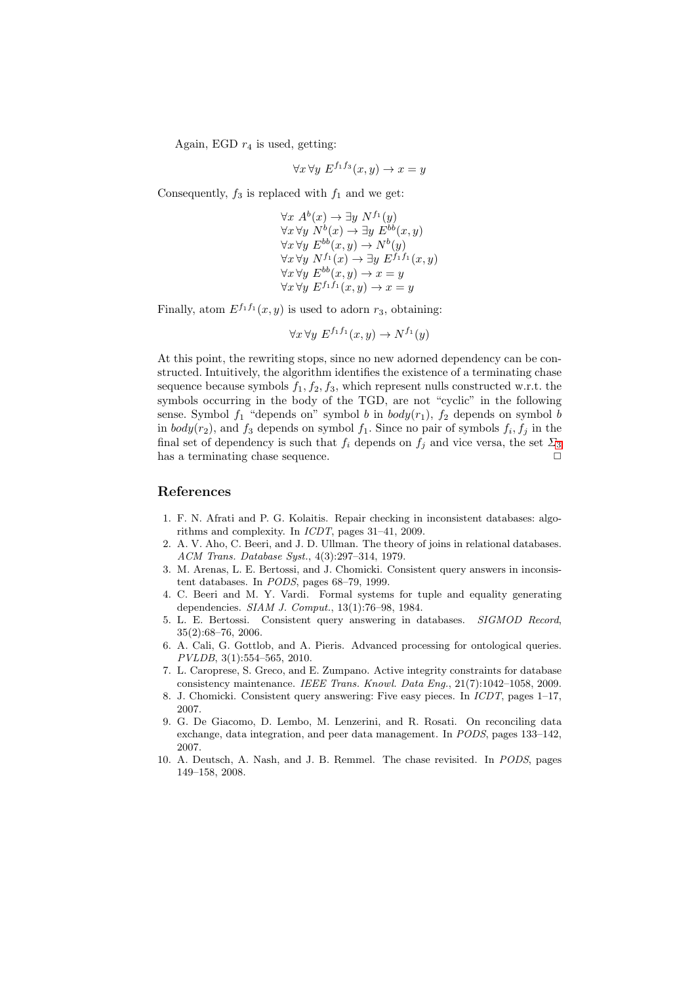Again, EGD  $r_4$  is used, getting:

$$
\forall x \forall y \ E^{f_1 f_3}(x, y) \to x = y
$$

Consequently,  $f_3$  is replaced with  $f_1$  and we get:

 $\forall x \ A^b(x) \rightarrow \exists y \ N^{f_1}(y)$  $\forall x \forall y \ N^b(x) \rightarrow \exists y \ E^{bb}(x, y)$  $\forall x \forall y \ E^{bb}(x, y) \rightarrow N^b(y)$  $\forall x \forall y \ N^{f_1}(x) \rightarrow \exists y \ E^{f_1f_1}(x,y)$  $\forall x \forall y \ E^{bb}(x, y) \rightarrow x = y$  $\forall x \forall y \ E^{f_1 f_1}(x, y) \rightarrow x = y$ 

Finally, atom  $E^{f_1f_1}(x, y)$  is used to adorn  $r_3$ , obtaining:

$$
\forall x \forall y \ E^{f_1 f_1}(x, y) \to N^{f_1}(y)
$$

At this point, the rewriting stops, since no new adorned dependency can be constructed. Intuitively, the algorithm identifies the existence of a terminating chase sequence because symbols  $f_1, f_2, f_3$ , which represent nulls constructed w.r.t. the symbols occurring in the body of the TGD, are not "cyclic" in the following sense. Symbol  $f_1$  "depends on" symbol b in  $body(r_1)$ ,  $f_2$  depends on symbol b in  $body(r_2)$ , and  $f_3$  depends on symbol  $f_1$ . Since no pair of symbols  $f_i, f_j$  in the final set of dependency is such that  $f_i$  depends on  $f_i$  and vice versa, the set  $\Sigma_3$  $\Sigma_3$ has a terminating chase sequence.  $\Box$ 

### References

- <span id="page-4-1"></span>1. F. N. Afrati and P. G. Kolaitis. Repair checking in inconsistent databases: algorithms and complexity. In ICDT, pages 31–41, 2009.
- <span id="page-4-0"></span>2. A. V. Aho, C. Beeri, and J. D. Ullman. The theory of joins in relational databases. ACM Trans. Database Syst., 4(3):297–314, 1979.
- <span id="page-4-2"></span>3. M. Arenas, L. E. Bertossi, and J. Chomicki. Consistent query answers in inconsistent databases. In PODS, pages 68–79, 1999.
- <span id="page-4-8"></span>4. C. Beeri and M. Y. Vardi. Formal systems for tuple and equality generating dependencies. SIAM J. Comput., 13(1):76–98, 1984.
- <span id="page-4-3"></span>5. L. E. Bertossi. Consistent query answering in databases. SIGMOD Record, 35(2):68–76, 2006.
- <span id="page-4-6"></span>6. A. Cali, G. Gottlob, and A. Pieris. Advanced processing for ontological queries. PVLDB, 3(1):554–565, 2010.
- <span id="page-4-4"></span>7. L. Caroprese, S. Greco, and E. Zumpano. Active integrity constraints for database consistency maintenance. IEEE Trans. Knowl. Data Eng., 21(7):1042–1058, 2009.
- <span id="page-4-5"></span>8. J. Chomicki. Consistent query answering: Five easy pieces. In ICDT, pages 1–17, 2007.
- <span id="page-4-7"></span>9. G. De Giacomo, D. Lembo, M. Lenzerini, and R. Rosati. On reconciling data exchange, data integration, and peer data management. In PODS, pages 133–142, 2007.
- <span id="page-4-9"></span>10. A. Deutsch, A. Nash, and J. B. Remmel. The chase revisited. In PODS, pages 149–158, 2008.